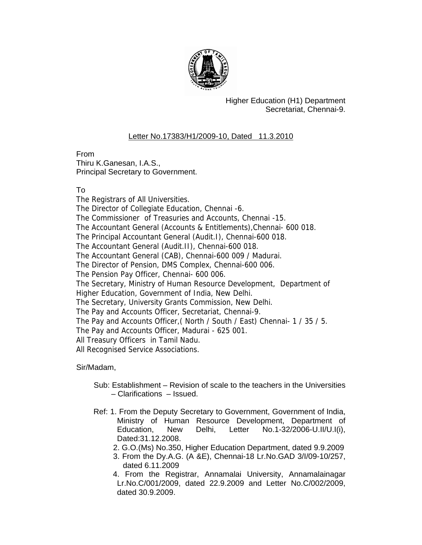

Higher Education (H1) Department Secretariat, Chennai-9.

## Letter No.17383/H1/2009-10, Dated 11.3.2010

From Thiru K.Ganesan, I.A.S., Principal Secretary to Government.

## To

The Registrars of All Universities. The Director of Collegiate Education, Chennai -6. The Commissioner of Treasuries and Accounts, Chennai -15. The Accountant General (Accounts & Entitlements),Chennai- 600 018. The Principal Accountant General (Audit.I), Chennai-600 018. The Accountant General (Audit.II), Chennai-600 018. The Accountant General (CAB), Chennai-600 009 / Madurai. The Director of Pension, DMS Complex, Chennai-600 006. The Pension Pay Officer, Chennai- 600 006. The Secretary, Ministry of Human Resource Development, Department of Higher Education, Government of India, New Delhi. The Secretary, University Grants Commission, New Delhi. The Pay and Accounts Officer, Secretariat, Chennai-9. The Pay and Accounts Officer,( North / South / East) Chennai- 1 / 35 / 5. The Pay and Accounts Officer, Madurai - 625 001. All Treasury Officers in Tamil Nadu. All Recognised Service Associations.

Sir/Madam,

- Sub: Establishment Revision of scale to the teachers in the Universities – Clarifications – Issued.
- Ref: 1. From the Deputy Secretary to Government, Government of India, Ministry of Human Resource Development, Department of Education, New Delhi, Letter No.1-32/2006-U.II/U.I(i), Dated:31.12.2008.
	- 2. G.O.(Ms) No.350, Higher Education Department, dated 9.9.2009
	- 3. From the Dy.A.G. (A &E), Chennai-18 Lr.No.GAD 3/I/09-10/257, dated 6.11.2009
	- 4. From the Registrar, Annamalai University, Annamalainagar Lr.No.C/001/2009, dated 22.9.2009 and Letter No.C/002/2009, dated 30.9.2009.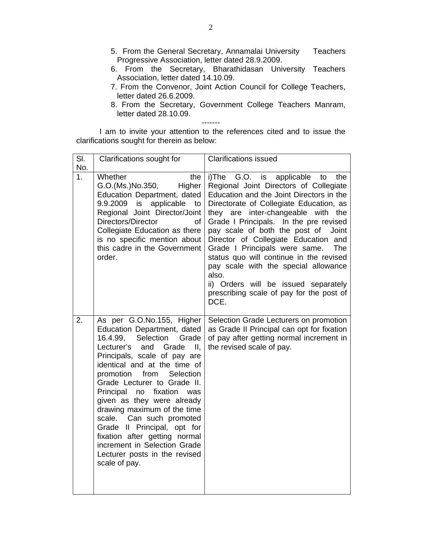- 5. From the General Secretary, Annamalai University Teachers Progressive Association, letter dated 28.9.2009.
- 6. From the Secretary, Bharathidasan University Teachers Association, letter dated 14.10.09.
- 7. From the Convenor, Joint Action Council for College Teachers, letter dated 26.6.2009.
- 8. From the Secretary, Government College Teachers Manram, letter dated 28.10.09.

I am to invite your attention to the references cited and to issue the clarifications sought for therein as below:

-------

| SI.<br>No.     | Clarifications sought for                                                                                                                                                                                                                                                                                                                                                                                                                                                                                                                           | <b>Clarifications issued</b>                                                                                                                                                                                                                                                                                                                                                                                                                                                                                                                                                 |
|----------------|-----------------------------------------------------------------------------------------------------------------------------------------------------------------------------------------------------------------------------------------------------------------------------------------------------------------------------------------------------------------------------------------------------------------------------------------------------------------------------------------------------------------------------------------------------|------------------------------------------------------------------------------------------------------------------------------------------------------------------------------------------------------------------------------------------------------------------------------------------------------------------------------------------------------------------------------------------------------------------------------------------------------------------------------------------------------------------------------------------------------------------------------|
| 1 <sub>1</sub> | Whether<br>the<br>G.O.(Ms.)No.350,<br>Higher<br>Education Department, dated<br>9.9.2009 is applicable<br>to<br>Regional Joint Director/Joint<br>Directors/Director<br>οf<br>Collegiate Education as there<br>is no specific mention about<br>this cadre in the Government<br>order.                                                                                                                                                                                                                                                                 | i)The G.O. is applicable to<br>the<br>Regional Joint Directors of Collegiate<br>Education and the Joint Directors in the<br>Directorate of Collegiate Education, as<br>they are inter-changeable with the<br>Grade I Principals. In the pre revised<br>pay scale of both the post of<br>Joint<br>Director of Collegiate Education and<br>Grade I Principals were same.<br><b>The</b><br>status quo will continue in the revised<br>pay scale with the special allowance<br>also.<br>ii) Orders will be issued separately<br>prescribing scale of pay for the post of<br>DCE. |
| 2.             | As per G.O.No.155, Higher<br>Education Department, dated<br>16.4.99,<br>Selection<br>Grade<br>Lecturer's<br>Grade<br>and<br>Ш,<br>Principals, scale of pay are<br>identical and at the time of<br>promotion<br>from<br>Selection<br>Grade Lecturer to Grade II.<br>Principal<br>no<br>fixation<br>was<br>given as they were already<br>drawing maximum of the time<br>Can such promoted<br>scale.<br>Grade II Principal, opt for<br>fixation after getting normal<br>increment in Selection Grade<br>Lecturer posts in the revised<br>scale of pay. | Selection Grade Lecturers on promotion<br>as Grade II Principal can opt for fixation<br>of pay after getting normal increment in<br>the revised scale of pay.                                                                                                                                                                                                                                                                                                                                                                                                                |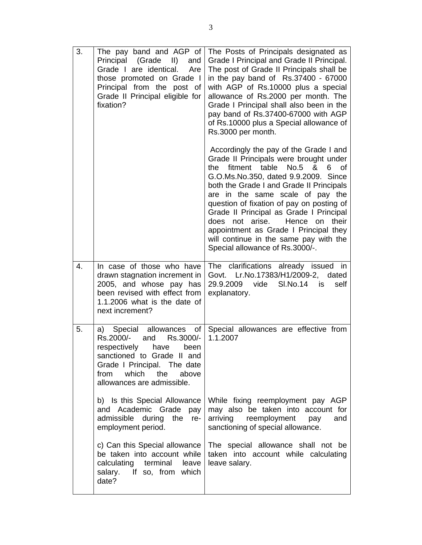| 3. | The pay band and AGP of<br>Principal (Grade II)<br>and<br>Grade I are identical.<br>Are<br>those promoted on Grade I<br>Principal from the post of<br>Grade II Principal eligible for<br>fixation?                             | The Posts of Principals designated as<br>Grade I Principal and Grade II Principal.<br>The post of Grade II Principals shall be<br>in the pay band of Rs.37400 - 67000<br>with AGP of Rs.10000 plus a special<br>allowance of Rs.2000 per month. The<br>Grade I Principal shall also been in the<br>pay band of Rs.37400-67000 with AGP<br>of Rs.10000 plus a Special allowance of<br>Rs.3000 per month.                                                                                                     |
|----|--------------------------------------------------------------------------------------------------------------------------------------------------------------------------------------------------------------------------------|-------------------------------------------------------------------------------------------------------------------------------------------------------------------------------------------------------------------------------------------------------------------------------------------------------------------------------------------------------------------------------------------------------------------------------------------------------------------------------------------------------------|
|    |                                                                                                                                                                                                                                | Accordingly the pay of the Grade I and<br>Grade II Principals were brought under<br>fitment table No.5 &<br>6<br>οf<br>the<br>G.O.Ms.No.350, dated 9.9.2009. Since<br>both the Grade I and Grade II Principals<br>are in the same scale of pay the<br>question of fixation of pay on posting of<br>Grade II Principal as Grade I Principal<br>Hence<br>does not arise.<br>their<br>on<br>appointment as Grade I Principal they<br>will continue in the same pay with the<br>Special allowance of Rs.3000/-. |
| 4. | In case of those who have<br>drawn stagnation increment in<br>2005, and whose pay has<br>been revised with effect from<br>1.1.2006 what is the date of<br>next increment?                                                      | The clarifications already issued in<br>Govt. Lr.No.17383/H1/2009-2,<br>dated<br>SI.No.14<br>29.9.2009<br>self<br>vide<br>is<br>explanatory.                                                                                                                                                                                                                                                                                                                                                                |
| 5. | Special<br>allowances<br>οf<br>a)<br>Rs.2000/-<br>Rs.3000/-<br>and<br>respectively<br>have<br>been<br>sanctioned to Grade II and<br>Grade I Principal. The date<br>which<br>the<br>above<br>from<br>allowances are admissible. | Special allowances are effective from<br>1.1.2007                                                                                                                                                                                                                                                                                                                                                                                                                                                           |
|    | b) Is this Special Allowance<br>and Academic Grade<br>pay<br>admissible<br>the<br>during<br>re-<br>employment period.                                                                                                          | While fixing reemployment pay AGP<br>may also be taken into account for<br>arriving<br>reemployment<br>and<br>pay<br>sanctioning of special allowance.                                                                                                                                                                                                                                                                                                                                                      |
|    | c) Can this Special allowance<br>be taken into account while<br>calculating<br>terminal<br>leave<br>If so, from which<br>salary.<br>date?                                                                                      | The special allowance shall not be<br>taken into account while calculating<br>leave salary.                                                                                                                                                                                                                                                                                                                                                                                                                 |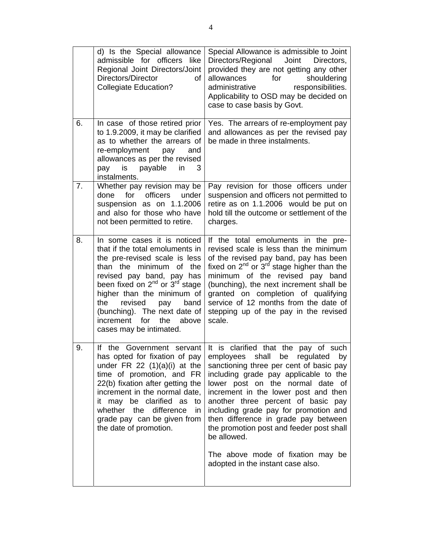|    | d) Is the Special allowance<br>admissible for officers like<br>Regional Joint Directors/Joint<br>Directors/Director<br>οf<br><b>Collegiate Education?</b>                                                                                                                                                                                                                          | Special Allowance is admissible to Joint<br>Directors/Regional<br>Joint<br>Directors,<br>provided they are not getting any other<br>for<br>allowances<br>shouldering<br>administrative<br>responsibilities.<br>Applicability to OSD may be decided on<br>case to case basis by Govt.                                                                                                                                                                                                       |
|----|------------------------------------------------------------------------------------------------------------------------------------------------------------------------------------------------------------------------------------------------------------------------------------------------------------------------------------------------------------------------------------|--------------------------------------------------------------------------------------------------------------------------------------------------------------------------------------------------------------------------------------------------------------------------------------------------------------------------------------------------------------------------------------------------------------------------------------------------------------------------------------------|
| 6. | In case of those retired prior<br>to 1.9.2009, it may be clarified<br>as to whether the arrears of<br>re-employment<br>pay<br>and<br>allowances as per the revised<br>payable<br>is<br>in<br>pay<br>3<br>instalments.                                                                                                                                                              | Yes. The arrears of re-employment pay<br>and allowances as per the revised pay<br>be made in three instalments.                                                                                                                                                                                                                                                                                                                                                                            |
| 7. | Whether pay revision may be<br>officers<br>for<br>done<br>under<br>suspension as on 1.1.2006<br>and also for those who have<br>not been permitted to retire.                                                                                                                                                                                                                       | Pay revision for those officers under<br>suspension and officers not permitted to<br>retire as on 1.1.2006 would be put on<br>hold till the outcome or settlement of the<br>charges.                                                                                                                                                                                                                                                                                                       |
| 8. | In some cases it is noticed<br>that if the total emoluments in<br>the pre-revised scale is less<br>than the minimum of<br>the<br>revised pay band, pay has<br>been fixed on 2 <sup>nd</sup> or 3 <sup>rd</sup> stage<br>higher than the minimum of<br>the<br>revised<br>band<br>pay<br>(bunching). The next date of<br>increment<br>the<br>above<br>for<br>cases may be intimated. | If the total emoluments in the pre-<br>revised scale is less than the minimum<br>of the revised pay band, pay has been<br>fixed on $2^{nd}$ or $3^{rd}$ stage higher than the<br>minimum of the revised pay band<br>(bunching), the next increment shall be<br>granted on completion of qualifying<br>service of 12 months from the date of<br>stepping up of the pay in the revised<br>scale.                                                                                             |
| 9. | has opted for fixation of pay<br>under FR 22 $(1)(a)(i)$ at the<br>time of promotion, and FR<br>22(b) fixation after getting the<br>increment in the normal date,<br>may be clarified as<br>to<br>it<br>whether the<br>difference<br>in<br>grade pay can be given from<br>the date of promotion.                                                                                   | If the Government servant   It is clarified that the pay of such<br>employees shall be regulated by<br>sanctioning three per cent of basic pay<br>including grade pay applicable to the<br>lower post on the normal date of<br>increment in the lower post and then<br>another three percent of basic pay<br>including grade pay for promotion and<br>then difference in grade pay between<br>the promotion post and feeder post shall<br>be allowed.<br>The above mode of fixation may be |
|    |                                                                                                                                                                                                                                                                                                                                                                                    | adopted in the instant case also.                                                                                                                                                                                                                                                                                                                                                                                                                                                          |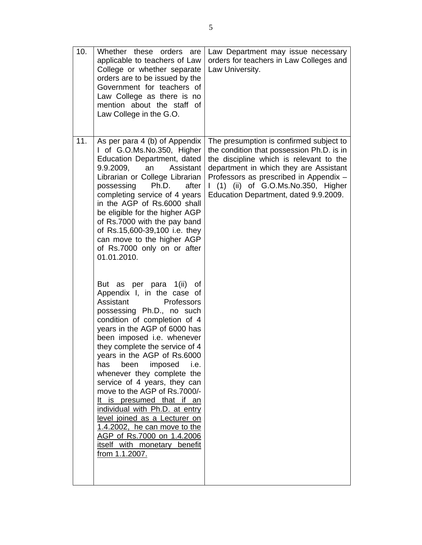| 10. | Whether these<br>orders<br>are<br>applicable to teachers of Law<br>College or whether separate<br>orders are to be issued by the<br>Government for teachers of<br>Law College as there is no<br>mention about the staff of<br>Law College in the G.O.                                                                                                                                                                                                                                                                                                                                                                                                                                                                                                                                                                                                                                                                                                                                                                                                                               | Law Department may issue necessary<br>orders for teachers in Law Colleges and<br>Law University.                                                                                                                                                                                                  |
|-----|-------------------------------------------------------------------------------------------------------------------------------------------------------------------------------------------------------------------------------------------------------------------------------------------------------------------------------------------------------------------------------------------------------------------------------------------------------------------------------------------------------------------------------------------------------------------------------------------------------------------------------------------------------------------------------------------------------------------------------------------------------------------------------------------------------------------------------------------------------------------------------------------------------------------------------------------------------------------------------------------------------------------------------------------------------------------------------------|---------------------------------------------------------------------------------------------------------------------------------------------------------------------------------------------------------------------------------------------------------------------------------------------------|
| 11. | As per para 4 (b) of Appendix<br>I of G.O.Ms.No.350, Higher<br>Education Department, dated<br>9.9.2009,<br>an<br>Assistant<br>Librarian or College Librarian<br>Ph.D.<br>possessing<br>after<br>completing service of 4 years<br>in the AGP of Rs.6000 shall<br>be eligible for the higher AGP<br>of Rs.7000 with the pay band<br>of Rs.15,600-39,100 i.e. they<br>can move to the higher AGP<br>of Rs.7000 only on or after<br>01.01.2010.<br>But as per para<br>1 (ii)<br>0f<br>Appendix I, in the case of<br>Assistant<br>Professors<br>possessing Ph.D., no such<br>condition of completion of 4<br>years in the AGP of 6000 has<br>been imposed i.e. whenever<br>they complete the service of 4<br>years in the AGP of Rs.6000<br>imposed<br>has<br>been<br>i.e.<br>whenever they complete the<br>service of 4 years, they can<br>move to the AGP of Rs.7000/-<br>It is presumed that if an<br>individual with Ph.D. at entry<br>level joined as a Lecturer on<br>1.4.2002, he can move to the<br>AGP of Rs.7000 on 1.4.2006<br>itself with monetary benefit<br>from 1.1.2007. | The presumption is confirmed subject to<br>the condition that possession Ph.D. is in<br>the discipline which is relevant to the<br>department in which they are Assistant<br>Professors as prescribed in Appendix -<br>(1) (ii) of G.O.Ms.No.350, Higher<br>Education Department, dated 9.9.2009. |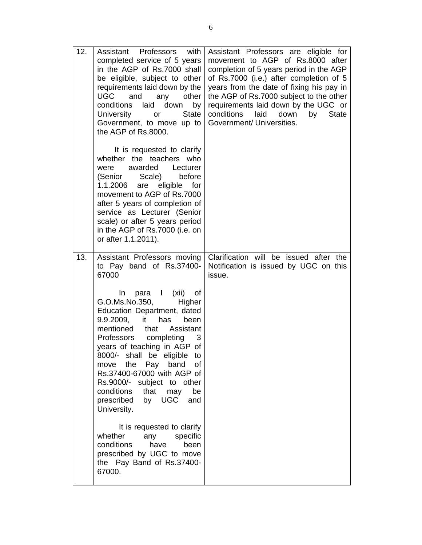| 12. | Assistant Professors with<br>completed service of 5 years<br>in the AGP of Rs.7000 shall<br>be eligible, subject to other<br>requirements laid down by the<br>UGC and<br>any<br>other<br>conditions<br>laid down<br>by<br>University<br><b>State</b><br><b>or</b><br>Government, to move up to<br>the AGP of Rs.8000.                                                                                                                                                                                                                                                                                                                                                      | Assistant Professors are eligible for<br>movement to AGP of Rs.8000 after<br>completion of 5 years period in the AGP<br>of Rs.7000 (i.e.) after completion of 5<br>years from the date of fixing his pay in<br>the AGP of Rs.7000 subject to the other<br>requirements laid down by the UGC or<br>conditions<br>laid<br>down<br><b>State</b><br>by<br>Government/ Universities. |
|-----|----------------------------------------------------------------------------------------------------------------------------------------------------------------------------------------------------------------------------------------------------------------------------------------------------------------------------------------------------------------------------------------------------------------------------------------------------------------------------------------------------------------------------------------------------------------------------------------------------------------------------------------------------------------------------|---------------------------------------------------------------------------------------------------------------------------------------------------------------------------------------------------------------------------------------------------------------------------------------------------------------------------------------------------------------------------------|
|     | It is requested to clarify<br>whether the teachers who<br>awarded Lecturer<br>were<br>Scale)<br>before<br>(Senior<br>eligible<br>1.1.2006<br>are<br>for<br>movement to AGP of Rs.7000<br>after 5 years of completion of<br>service as Lecturer (Senior<br>scale) or after 5 years period<br>in the AGP of Rs.7000 (i.e. on<br>or after 1.1.2011).                                                                                                                                                                                                                                                                                                                          |                                                                                                                                                                                                                                                                                                                                                                                 |
| 13. | Assistant Professors moving<br>to Pay band of Rs.37400-<br>67000<br>para I (xii)<br>In<br>0f<br>G.O.Ms.No.350,<br>Higher<br>Education Department, dated<br>9.9.2009, it<br>has<br>been<br>mentioned<br>that<br>Assistant<br><b>Professors</b><br>completing<br>3<br>years of teaching in AGP of<br>8000/- shall be eligible to<br>move the<br>Pay<br>band<br>οf<br>Rs.37400-67000 with AGP of<br>Rs.9000/- subject to other<br>conditions<br>that<br>may<br>be<br>prescribed<br>by UGC<br>and<br>University.<br>It is requested to clarify<br>specific<br>whether<br>any<br>conditions<br>have<br>been<br>prescribed by UGC to move<br>the Pay Band of Rs.37400-<br>67000. | Clarification will be issued after the<br>Notification is issued by UGC on this<br>issue.                                                                                                                                                                                                                                                                                       |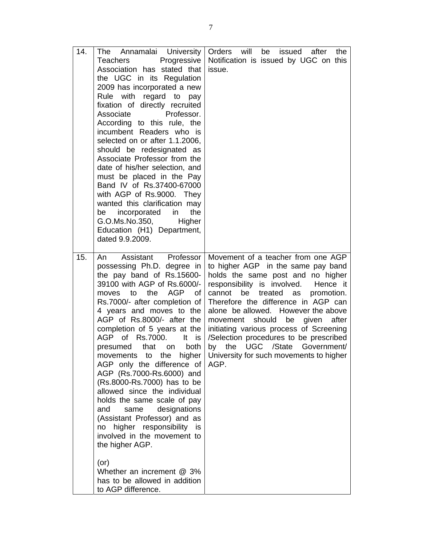| 14.<br>Teachers<br>Associate<br>be | The Annamalai University<br>Progressive<br>Association has stated that<br>the UGC in its Regulation<br>2009 has incorporated a new<br>Rule with regard to pay<br>fixation of directly recruited<br>Professor.<br>According to this rule, the<br>incumbent Readers who is<br>selected on or after 1.1.2006,<br>should be redesignated as<br>Associate Professor from the<br>date of his/her selection, and<br>must be placed in the Pay<br>Band IV of Rs.37400-67000<br>with AGP of Rs.9000. They<br>wanted this clarification may<br>incorporated<br>in<br>the<br>G.O.Ms.No.350,<br>Higher<br>Education (H1) Department,<br>dated 9.9.2009.                                                                                                    | Orders will<br>be issued after<br>the<br>Notification is issued by UGC on this<br>issue.                                                                                                                                                                                                                                                                                                                                                                                                            |
|------------------------------------|------------------------------------------------------------------------------------------------------------------------------------------------------------------------------------------------------------------------------------------------------------------------------------------------------------------------------------------------------------------------------------------------------------------------------------------------------------------------------------------------------------------------------------------------------------------------------------------------------------------------------------------------------------------------------------------------------------------------------------------------|-----------------------------------------------------------------------------------------------------------------------------------------------------------------------------------------------------------------------------------------------------------------------------------------------------------------------------------------------------------------------------------------------------------------------------------------------------------------------------------------------------|
| 15.<br>An<br>and<br>$($ or $)$     | Assistant Professor<br>possessing Ph.D. degree in<br>the pay band of Rs.15600-<br>39100 with AGP of Rs.6000/-<br>moves to the<br>AGP<br>0f<br>Rs.7000/- after completion of<br>4 years and moves to the<br>AGP of Rs.8000/- after the<br>completion of 5 years at the<br>AGP of Rs.7000.<br>It is<br>both<br>presumed that on<br>movements to the higher<br>AGP only the difference of<br>AGP (Rs.7000-Rs.6000) and<br>(Rs.8000-Rs.7000) has to be<br>allowed since the individual<br>holds the same scale of pay<br>designations<br>same<br>(Assistant Professor) and as<br>no higher responsibility is<br>involved in the movement to<br>the higher AGP.<br>Whether an increment @ 3%<br>has to be allowed in addition<br>to AGP difference. | Movement of a teacher from one AGP<br>to higher AGP in the same pay band<br>holds the same post and no higher<br>responsibility is involved. Hence it<br>cannot be<br>treated as<br>promotion.<br>Therefore the difference in AGP can<br>alone be allowed. However the above<br>should<br>movement<br>given<br>after<br>be<br>initiating various process of Screening<br>/Selection procedures to be prescribed<br>by the UGC /State Government/<br>University for such movements to higher<br>AGP. |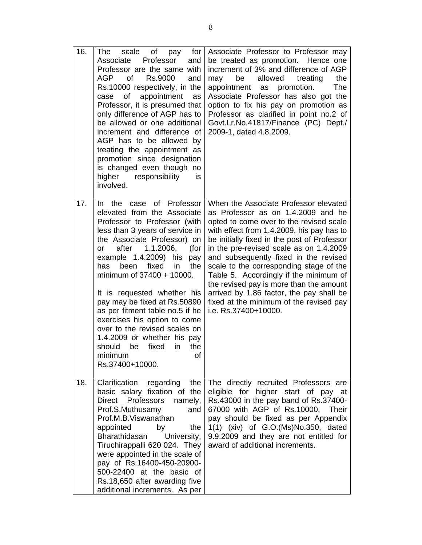| 16. | scale<br>Οf<br>for<br><b>The</b><br>pay<br>Associate<br>Professor<br>and<br>Professor are the same with<br><b>AGP</b><br>of<br>Rs.9000<br>and<br>Rs.10000 respectively, in the<br>appointment<br>of<br>as<br>case<br>Professor, it is presumed that<br>only difference of AGP has to<br>be allowed or one additional<br>increment and difference of<br>AGP has to be allowed by<br>treating the appointment as<br>promotion since designation<br>is changed even though no<br>higher<br>responsibility<br>is<br>involved.                                                                 | Associate Professor to Professor may<br>be treated as promotion.<br>Hence one<br>increment of 3% and difference of AGP<br>allowed<br>be<br>treating<br>the<br>may<br>promotion.<br>The<br>appointment as<br>Associate Professor has also got the<br>option to fix his pay on promotion as<br>Professor as clarified in point no.2 of<br>Govt.Lr.No.41817/Finance (PC) Dept./<br>2009-1, dated 4.8.2009.                                                                                                                                               |
|-----|-------------------------------------------------------------------------------------------------------------------------------------------------------------------------------------------------------------------------------------------------------------------------------------------------------------------------------------------------------------------------------------------------------------------------------------------------------------------------------------------------------------------------------------------------------------------------------------------|-------------------------------------------------------------------------------------------------------------------------------------------------------------------------------------------------------------------------------------------------------------------------------------------------------------------------------------------------------------------------------------------------------------------------------------------------------------------------------------------------------------------------------------------------------|
| 17. | of Professor<br>the<br>case<br>In.<br>elevated from the Associate<br>Professor to Professor (with<br>less than 3 years of service in<br>the Associate Professor) on<br>after<br>1.1.2006,<br>(for<br>or<br>example 1.4.2009) his<br>pay<br>been<br>fixed<br>has<br>in.<br>the<br>minimum of $37400 + 10000$ .<br>It is requested whether his<br>pay may be fixed at Rs.50890<br>as per fitment table no.5 if he<br>exercises his option to come<br>over to the revised scales on<br>1.4.2009 or whether his pay<br>should<br>be<br>fixed<br>in<br>the<br>of<br>minimum<br>Rs.37400+10000. | When the Associate Professor elevated<br>as Professor as on 1.4.2009 and he<br>opted to come over to the revised scale<br>with effect from 1.4.2009, his pay has to<br>be initially fixed in the post of Professor<br>in the pre-revised scale as on 1.4.2009<br>and subsequently fixed in the revised<br>scale to the corresponding stage of the<br>Table 5. Accordingly if the minimum of<br>the revised pay is more than the amount<br>arrived by 1.86 factor, the pay shall be<br>fixed at the minimum of the revised pay<br>i.e. Rs.37400+10000. |
| 18. | Clarification<br>regarding<br>the<br>basic salary fixation of the<br>Direct Professors<br>namely,<br>Prof.S.Muthusamy<br>and<br>Prof.M.B.Viswanathan<br>appointed<br>by<br>the<br>Bharathidasan<br>University,<br>Tiruchirappalli 620 024. They<br>were appointed in the scale of<br>pay of Rs.16400-450-20900-<br>500-22400 at the basic of<br>Rs.18,650 after awarding five<br>additional increments. As per                                                                                                                                                                            | The directly recruited Professors are<br>eligible for higher start of pay at<br>Rs.43000 in the pay band of Rs.37400-<br>67000 with AGP of Rs.10000. Their<br>pay should be fixed as per Appendix<br>1(1) (xiv) of G.O. (Ms) No. 350, dated<br>9.9.2009 and they are not entitled for<br>award of additional increments.                                                                                                                                                                                                                              |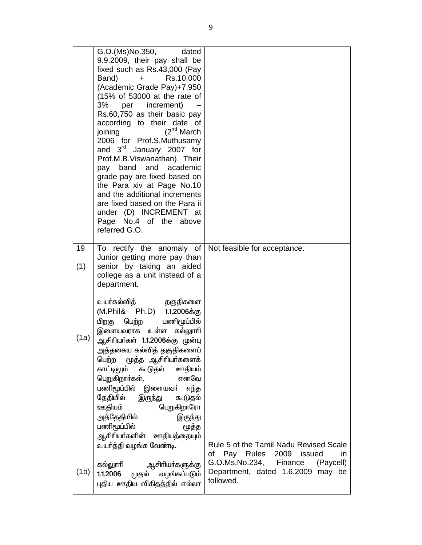|      | G.O.(Ms)No.350,<br>dated<br>9.9.2009, their pay shall be<br>fixed such as Rs.43,000 (Pay<br>Rs.10,000<br>Band)<br>$+$<br>(Academic Grade Pay)+7,950<br>(15% of 53000 at the rate of<br>3%<br>per<br>increment)<br>Rs.60,750 as their basic pay<br>according to their date of<br>$(2^{nd}$ March<br>joining<br>2006 for Prof.S.Muthusamy<br>and 3rd January 2007 for<br>Prof.M.B.Viswanathan). Their<br>band<br>and<br>academic<br>pay<br>grade pay are fixed based on<br>the Para xiv at Page No.10<br>and the additional increments<br>are fixed based on the Para ii<br>under (D) INCREMENT at<br>Page No.4 of the<br>above<br>referred G.O. |                                                                                                                 |
|------|------------------------------------------------------------------------------------------------------------------------------------------------------------------------------------------------------------------------------------------------------------------------------------------------------------------------------------------------------------------------------------------------------------------------------------------------------------------------------------------------------------------------------------------------------------------------------------------------------------------------------------------------|-----------------------------------------------------------------------------------------------------------------|
| 19   | To rectify the anomaly of                                                                                                                                                                                                                                                                                                                                                                                                                                                                                                                                                                                                                      | Not feasible for acceptance.                                                                                    |
| (1)  | Junior getting more pay than<br>senior by taking an aided<br>college as a unit instead of a<br>department.                                                                                                                                                                                                                                                                                                                                                                                                                                                                                                                                     |                                                                                                                 |
| (1a) | உயா்கல்வித்<br>தகுதிகளை<br>(M.Phil& Ph.D) 1.1.2006க்கு<br>பணிமூப்பில்<br>பெற்ற<br>பிறகு<br>உள்ள<br>கல்லுாரி<br>இளையவராக<br>ஆசிரியா்கள் 1.1.2006க்கு முன்பு<br>அத்தகைய கல்வித் தகுதிகளைப்<br>மூத்த ஆசிரியர்களைக்<br>பெற்ற<br>கூடுதல்<br>ஊதியம்<br>காட்டிலும்<br>எனவே<br>பெறுகிறார்கள்.<br>பணிமூப்பில் இளையவா் எந்த<br>தேதியில்<br>இருந்து<br>கூடுதல்<br>ஊதியம்<br>பெறுகிறாரோ<br>அத்தேதியில்<br>இருந்து<br>பணிமூப்பில்<br>மூத்த<br>ஆசிரியா்களின் ஊதியத்தையும்<br>உயா்த்தி வழங்க வேண்டி.<br>ஆசிரியா்களுக்கு<br>கல்லுாரி                                                                                                                           | Rule 5 of the Tamil Nadu Revised Scale<br>of Pay Rules 2009 issued<br>in<br>G.O.Ms.No.234, Finance<br>(Paycell) |
| (1b) | முதல் வழங்கப்படும்<br>1.1.2006<br>புதிய ஊதிய விகிதத்தில் எல்லா                                                                                                                                                                                                                                                                                                                                                                                                                                                                                                                                                                                 | Department, dated 1.6.2009 may be<br>followed.                                                                  |